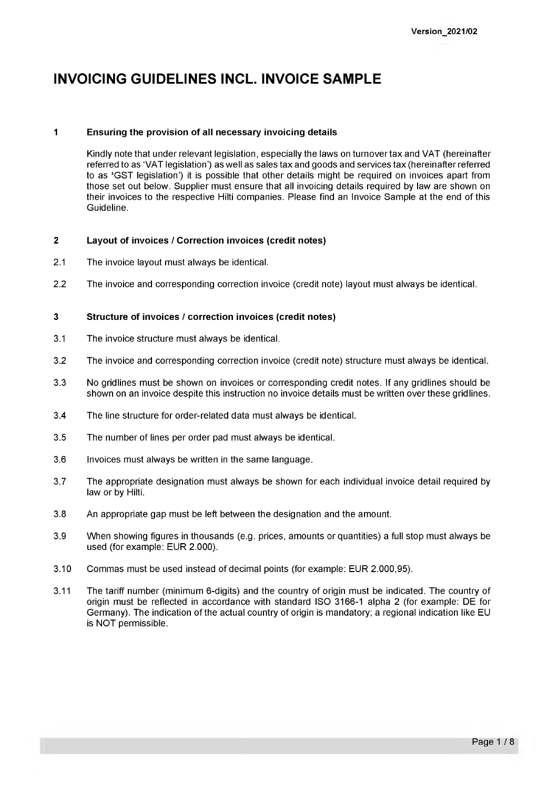# **INVOICING GUIDELINES INCL. INVOICE SAMPLE**

# **1 Ensuring the Provision of all necessary invoicing details**

Kindly note that under relevant legislation, especially the laws on turnover tax and VAT (hereinafter referred to as 'VAT legislation') as well as sales tax and goods and services tax (hereinafter referred to as **'**GST legislation') it is possible that other details might be required on invoices apart from those set out below. Supplier must ensure that all invoicing details required by law are shown on their invoices to the respective Hilti companies. Please find an Invoice Sample at the end of this Guideline.

# **2 Layout of invoices / Correction invoices (credit notes)**

- 2.1 The invoice layout must always be identical.
- 2.2 The invoice and corresponding correction invoice (credit note) layout must always be identical.

# **3 Structure of invoices / correction invoices (credit notes)**

- 3.1 The invoice structure must always be identical.
- 3.2 The invoice and corresponding correction invoice (credit note) structure must always be identical.
- 3.3 No gridlines must be shown on invoices or corresponding credit notes. If any gridlines should be shown on an invoice despite this instruction no invoice details must be written over these gridlines.
- 3.4 The line structure for order-related data must always be identical.
- 3.5 The number of lines per order pad must always be identical.
- 3.6 Invoices must always be written in the same language.
- 3.7 The appropriate designation must always be shown for each individual invoice detail required by law or by Hilti.
- 3.8 An appropriate gap must be left between the designation and the amount.
- 3.9 When showing figures in thousands (e.g. prices, amounts or quantities) a full stop must always be used (for example: EUR 2.000).
- 3.10 Commas must be used instead of decimal points (for example: EUR 2.000,95).
- 3.11 The tariff number (minimum 6-digits) and the country of origin must be indicated. The country of origin must be reflected in accordance with standard ISO 3166-1 alpha 2 (for example: DE for Germany). The indication of the actual country of origin is mandatory; a regional indication like EU is NOT permissible.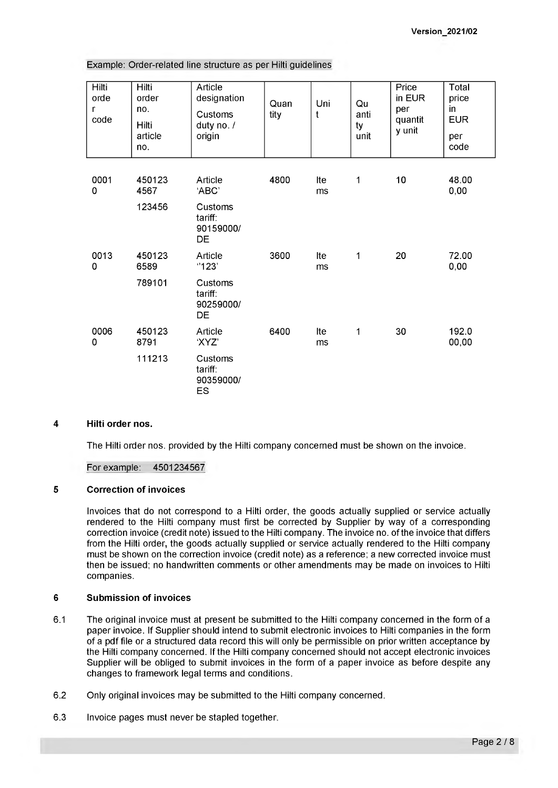| Example: Order-related line structure as per Hilti guidelines |  |
|---------------------------------------------------------------|--|
|---------------------------------------------------------------|--|

| Hilti<br>orde<br>r<br>code | Hilti<br>order<br>no.<br>Hilti<br>article<br>no. | Article<br>designation<br>Customs<br>duty no. /<br>origin | Quan<br>tity | Uni<br>t  | Qu<br>anti<br>ty<br>unit | Price<br>in EUR<br>per<br>quantit<br>y unit | Total<br>price<br>in<br><b>EUR</b><br>per<br>code |
|----------------------------|--------------------------------------------------|-----------------------------------------------------------|--------------|-----------|--------------------------|---------------------------------------------|---------------------------------------------------|
| 0001<br>0                  | 450123<br>4567                                   | Article<br>'ABC                                           | 4800         | Ite<br>ms | $\mathbf{1}$             | 10                                          | 48.00<br>0,00                                     |
|                            | 123456                                           | Customs<br>tariff:<br>90159000/<br>DE                     |              |           |                          |                                             |                                                   |
| 0013<br>0                  | 450123<br>6589                                   | Article<br>"123"                                          | 3600         | Ite<br>ms | 1                        | 20                                          | 72.00<br>0,00                                     |
|                            | 789101                                           | Customs<br>tariff:<br>90259000/<br>DE                     |              |           |                          |                                             |                                                   |
| 0006<br>0                  | 450123<br>8791                                   | Article<br>'XYZ'                                          | 6400         | Ite<br>ms | $\mathbf{1}$             | 30                                          | 192.0<br>00,00                                    |
|                            | 111213                                           | Customs<br>tariff:<br>90359000/<br><b>ES</b>              |              |           |                          |                                             |                                                   |

#### **4 Hilti order nos.**

The Hilti order nos. provided by the Hilti company concerned must be shown on the invoice.

For example: 4501234567

## **5 Correction of invoices**

Invoices that do not correspond to a Hilti order, the goods actually supplied or service actually rendered to the Hilti company must first be corrected by Supplier by way of a corresponding correction invoice (credit note) issued to the Hilti company. The invoice no. of the invoice that differs from the Hilti order**,** the goods actually supplied or service actually rendered to the Hilti company must be shown on the correction invoice (credit note) as a reference; a new corrected invoice must then be issued; no handwritten comments or other amendments may be made on invoices to Hilti companies.

## **6 Submission of invoices**

- 6.1 The original invoice must at present be submitted to the Hilti company concerned in the form of a paper invoice. If Supplier should intend to submit electronic invoices to Hilti companies in the form of a pdf file or a structured data record this will only be permissible on prior written acceptance by the Hilti company concerned. If the Hilti company concerned should not accept electronic invoices Supplier will be obliged to submit invoices in the form of a paper invoice as before despite any changes to framework legal terms and conditions.
- 6.2 Only original invoices may be submitted to the Hilti company concerned.
- 6.3 Invoice pages must never be stapled together.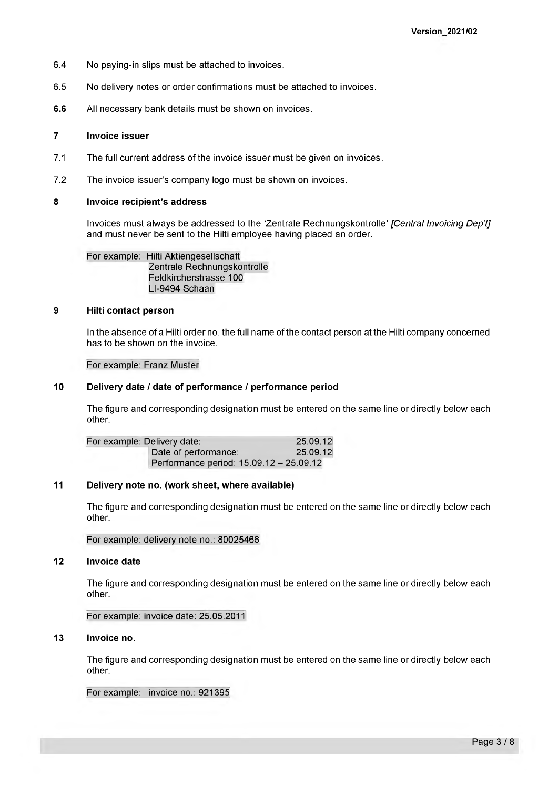- 6.4 No paying-in slips must be attached to invoices.
- 6.5 No delivery notes or order confirmations must be attached to invoices.
- **6.6** All necessary bank details must be shown on invoices.

### **7 Invoice issuer**

- 7.1 The full current address of the invoice issuer must be given on invoices.
- 7.2 The invoice issuer's company logo must be shown on invoices.

# **8 Invoice recipient's address**

Invoices must always be addressed to the 'Zentrale Rechnungskontrolle' *[Central Invoicing Dep't]* and must never be sent to the Hilti employee having placed an order.

For example: Hilti Aktiengesellschaft Zentrale Rechnungskontrolle Feldkircherstrasse 100 LI-9494 Schaan

#### **9 Hilti contact person**

In the absence of a Hilti order no. the full name of the contact person at the Hilti company concerned has to be shown on the invoice.

#### For example: Franz Muster

## **10 Delivery date / date of performance / performance period**

The figure and corresponding designation must be entered on the same line or directly below each other.

| For example: Delivery date: |                                         | 25.09.12 |
|-----------------------------|-----------------------------------------|----------|
|                             | Date of performance:                    | 25.09.12 |
|                             | Performance period: 15.09.12 - 25.09.12 |          |

## **11 Delivery note no. (work sheet, where available)**

The figure and corresponding designation must be entered on the same line or directly below each other.

For example: delivery note no.: 80025466

# **12 Invoice date**

The figure and corresponding designation must be entered on the same line or directly below each other.

For example: invoice date: 25.05.2011

## **13 Invoice no.**

The figure and corresponding designation must be entered on the same line or directly below each other.

For example: invoice no.: 921395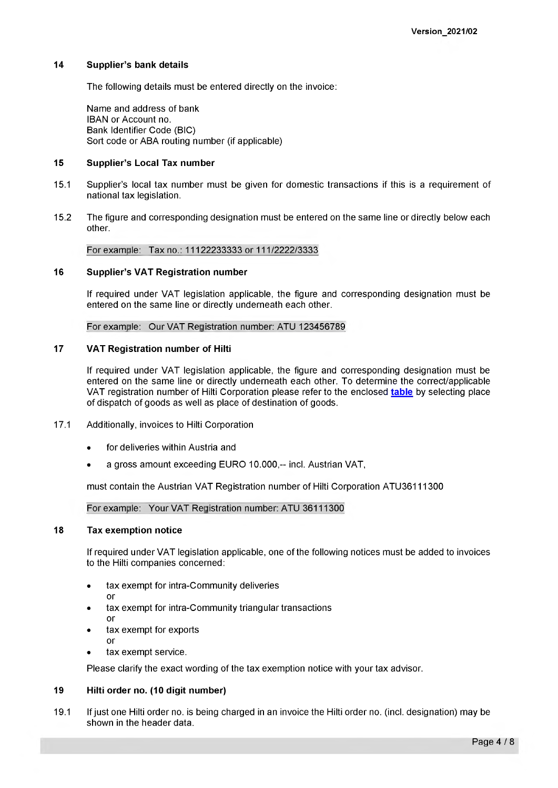## **14 Supplier's bank details**

The following details must be entered directly on the invoice:

Name and address of bank IBAN or Account no. Bank Identifier Code (BIC) Sort code or ABA routing number (if applicable)

## **15 Supplier's Local Tax number**

- 15.1 Supplier's local tax number must be given for domestic transactions if this is a requirement of national tax legislation.
- 15.2 The figure and corresponding designation must be entered on the same line or directly below each other.

For example: Tax no.: 11122233333 or 111/2222/3333

## **16 Supplier's VAT Registration number**

If required under VAT legislation applicable, the figure and corresponding designation must be entered on the same line or directly underneath each other.

For example: Our VAT Registration number: ATU 123456789

## **17 VAT Registration number of Hilti**

If required under VAT legislation applicable, the figure and corresponding designation must be entered on the same line or directly underneath each other. To determine the correct/applicable VAT registration number of Hilti Corporation please refer to the enclosed **[table](https://www.hilti.group/content/dam/documents/Media-Release/2021/january/VAT%20ID%20of%20Hilti%20Corporation%20to%20be%20used_12012021.xlsx)** by selecting place of dispatch of goods as well as place of destination of goods.

- 17.1 Additionally, invoices to Hilti Corporation
	- for deliveries within Austria and
	- a gross amount exceeding EURO 10.000,-- incl. Austrian VAT,

must contain the Austrian VAT Registration number of Hilti Corporation ATU36111300

## For example: Your VAT Registration number: ATU 36111300

# **18 Tax exemption notice**

If required under VAT legislation applicable, one of the following notices must be added to invoices to the Hilti companies concerned:

- tax exempt for intra-Community deliveries or
- tax exempt for intra-Community triangular transactions or
- tax exempt for exports or
- tax exempt service.

Please clarify the exact wording of the tax exemption notice with your tax advisor.

## **19 Hilti order no. (10 digit number)**

19.1 If just one Hilti order no. is being charged in an invoice the Hilti order no. (incl. designation) may be shown in the header data.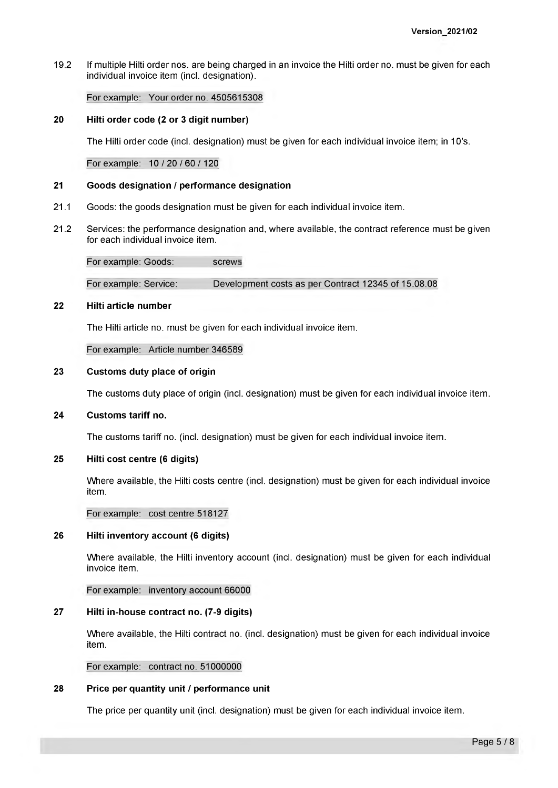19.2 If multiple Hilti order nos. are being charged in an invoice the Hilti order no. must be given for each individual invoice item (incl. designation).

# For example: Your order no. 4505615308

### **20 Hilti order code (2 or 3 digit number)**

The Hilti order code (incl. designation) must be given for each individual invoice item; in 10's.

For example: 10 / 20 / 60 / 120

#### **21 Goods designation / performance designation**

- 21.1 Goods: the goods designation must be given for each individual invoice item.
- 21.2 Services: the performance designation and, where available, the contract reference must be given for each individual invoice item.

For example: Goods: screws

For example: Service: Development costs as per Contract 12345 of 15.08.08

#### **22 Hilti article number**

The Hilti article no. must be given for each individual invoice item.

For example: Article number 346589

#### **23 Customs duty place of origin**

The customs duty place of origin (incl. designation) must be given for each individual invoice item.

# **24 Customs tariff no.**

The customs tariff no. (incl. designation) must be given for each individual invoice item.

# **25 Hilti cost centre (6 digits)**

Where available, the Hilti costs centre (incl. designation) must be given for each individual invoice item.

#### For example: cost centre 518127

## **26 Hilti inventory account (6 digits)**

Where available, the Hilti inventory account (incl. designation) must be given for each individual invoice item.

For example: inventory account 66000

# **27 Hilti in-house contract no. (7-9 digits)**

Where available, the Hilti contract no. (incl. designation) must be given for each individual invoice item.

For example: contract no. 51000000

## **28 Price per quantity unit / performance unit**

The price per quantity unit (incl. designation) must be given for each individual invoice item.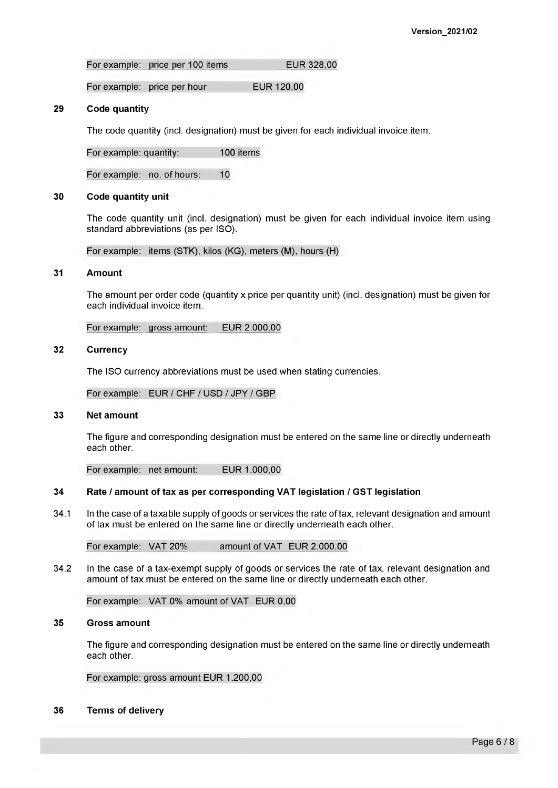For example: price per 100 items EUR 328,00

For example: price per hour EUR 120,00

### **29 Code quantity**

The code quantity (incl. designation) must be given for each individual invoice item.

For example: quantity: 100 items

For example: no. of hours: 10

# **30 Code quantity unit**

The code quantity unit (incl. designation) must be given for each individual invoice item using standard abbreviations (as per ISO).

For example: items (STK), kilos (KG), meters (M), hours (H)

## **31 Amount**

The amount per order code (quantity x price per quantity unit) (incl. designation) must be given for each individual invoice item.

For example: gross amount: EUR 2.000,00

#### **32 Currency**

The ISO currency abbreviations must be used when stating currencies.

For example: EUR / CHF / USD / JPY / GBP

# **33 Net amount**

The figure and corresponding designation must be entered on the same line or directly underneath each other.

For example: net amount: EUR 1.000,00

## **34 Rate / amount of tax as per corresponding VAT legislation / GST legislation**

34.1 In the case of a taxable supply of goods or services the rate of tax, relevant designation and amount of tax must be entered on the same line or directly underneath each other.

For example: VAT 20% amount of VAT EUR 2.000,00

34.2 In the case of a tax-exempt supply of goods or services the rate of tax, relevant designation and amount of tax must be entered on the same line or directly underneath each other.

For example: VAT 0% amount of VAT EUR 0,00

#### **35 Gross amount**

The figure and corresponding designation must be entered on the same line or directly underneath each other.

For example: gross amount EUR 1.200,00

**36 Terms of delivery**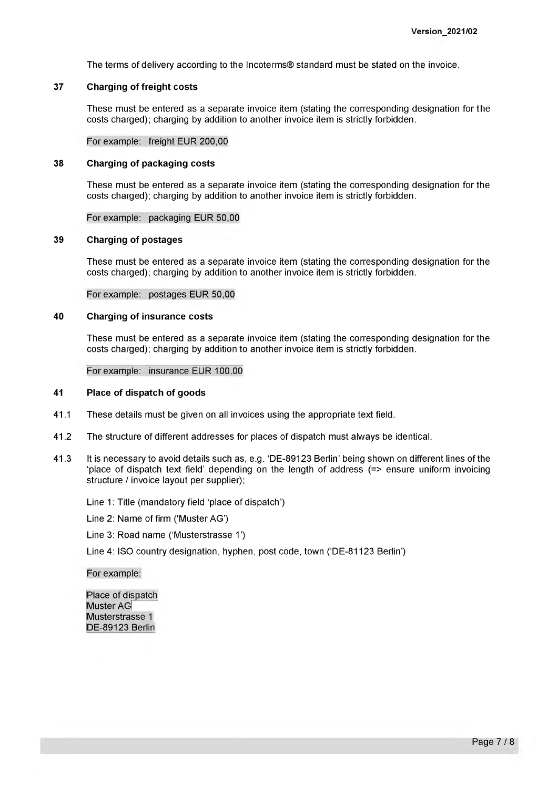The terms of delivery according to the Incoterms® Standard must be stated on the invoice.

## **37 Charging of freight costs**

These must be entered as a separate invoice item (stating the corresponding designation for the costs charged); charging by addition to another invoice item is strictly forbidden.

For example: freight EUR 200,00

### **38 Charging of packaging costs**

These must be entered as a separate invoice item (stating the corresponding designation for the costs charged); charging by addition to another invoice item is strictly forbidden.

#### For example: packaging EUR 50,00

#### **39 Charging of postages**

These must be entered as a separate invoice item (stating the corresponding designation for the costs charged); charging by addition to another invoice item is strictly forbidden.

For example: postages EUR 50,00

### **40 Charging of insurance costs**

These must be entered as a separate invoice item (stating the corresponding designation for the costs charged); charging by addition to another invoice item is strictly forbidden.

For example: insurance EUR 100,00

#### **41 Place of dispatch of goods**

- 41.1 These details must be given on all invoices using the appropriate text field.
- 41.2 The structure of different addresses for places of dispatch must always be identical.
- 41.3 It is necessary to avoid details such as, e.g. 'DE-89123 Berlin' being shown on different lines of the 'place of dispatch text field' depending on the length of address (=> ensure uniform invoicing structure / invoice layout per supplier);

Line 1: Title (mandatory field 'place of dispatch')

Line 2: Name of firm ('Muster AG')

Line 3: Road name ('Musterstrasse 1 ')

Line 4: ISO country designation, hyphen, post code, town ('DE-81123 Berlin')

#### For example:

Place of dispatch Muster AG Musterstrasse 1 DE-89123 Berlin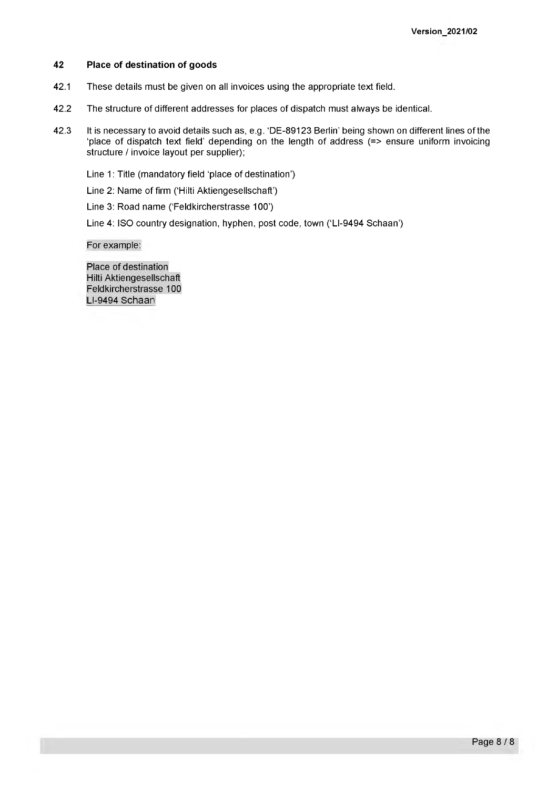#### **42 Place of destination of goods**

- 42.1 These details must be given on all invoices using the appropriate text field.
- 42.2 The structure of different addresses for places of dispatch must always be identical.
- 42.3 It is necessary to avoid details such as, e.g. 'DE-89123 Berlin' being shown on different lines of the 'place of dispatch text field' depending on the length of address (=> ensure uniform invoicing structure / invoice layout per supplier);

Line 1: Title (mandatory field 'place of destination')

Line 2: Name of firm ('Hilti Aktiengesellschaft')

Line 3: Road name ('Feldkircherstrasse 100')

Line 4: ISO country designation, hyphen, post code, town ('LI-9494 Schaan')

For example:

Place of destination Hilti Aktiengesellschaft Feldkircherstrasse 100 LI-9494 Schaan